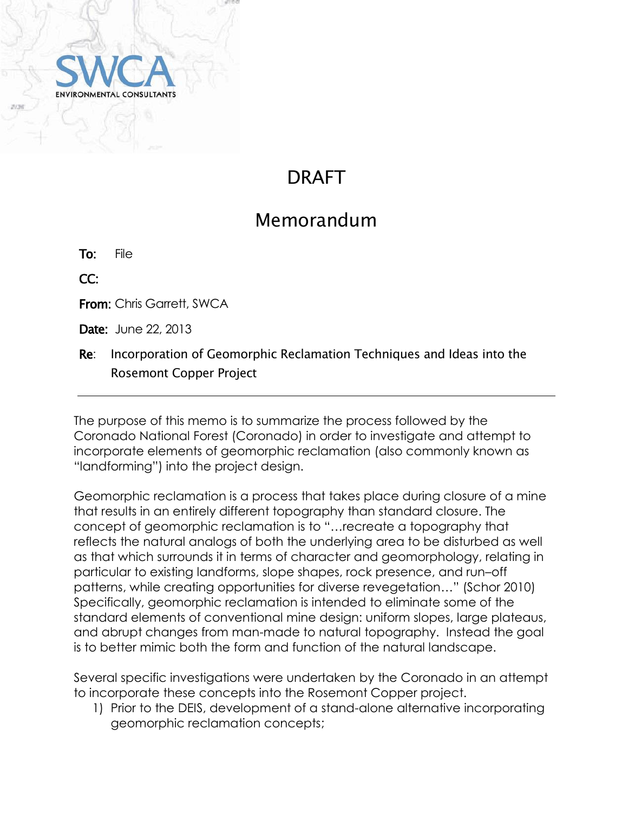

# DRAFT

## Memorandum

To: File

CC:

From: Chris Garrett, SWCA

**Date:** June 22, 2013

Re: Incorporation of Geomorphic Reclamation Techniques and Ideas into the Rosemont Copper Project

The purpose of this memo is to summarize the process followed by the Coronado National Forest (Coronado) in order to investigate and attempt to incorporate elements of geomorphic reclamation (also commonly known as "landforming") into the project design.

Geomorphic reclamation is a process that takes place during closure of a mine that results in an entirely different topography than standard closure. The concept of geomorphic reclamation is to "…recreate a topography that reflects the natural analogs of both the underlying area to be disturbed as well as that which surrounds it in terms of character and geomorphology, relating in particular to existing landforms, slope shapes, rock presence, and run–off patterns, while creating opportunities for diverse revegetation…" (Schor 2010) Specifically, geomorphic reclamation is intended to eliminate some of the standard elements of conventional mine design: uniform slopes, large plateaus, and abrupt changes from man-made to natural topography. Instead the goal is to better mimic both the form and function of the natural landscape.

Several specific investigations were undertaken by the Coronado in an attempt to incorporate these concepts into the Rosemont Copper project.

1) Prior to the DEIS, development of a stand-alone alternative incorporating geomorphic reclamation concepts;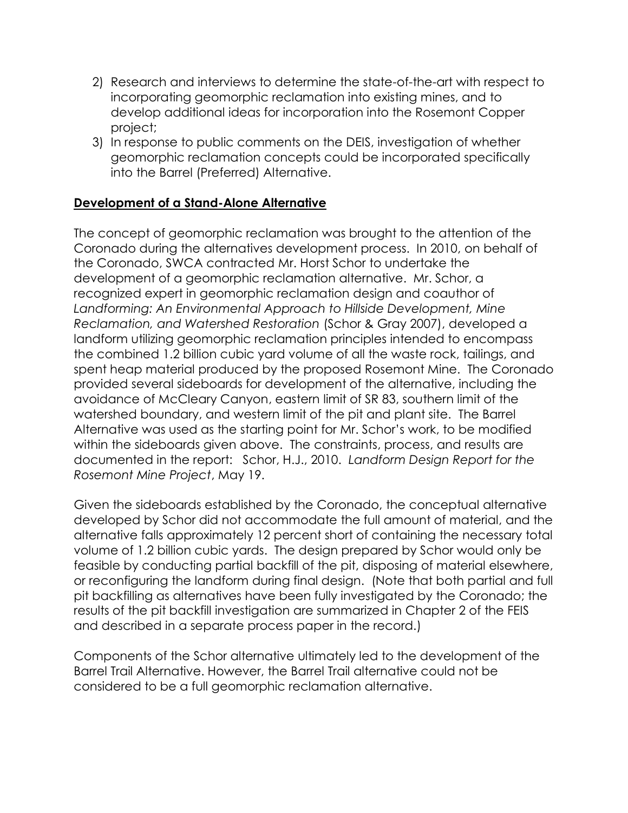- 2) Research and interviews to determine the state-of-the-art with respect to incorporating geomorphic reclamation into existing mines, and to develop additional ideas for incorporation into the Rosemont Copper project;
- 3) In response to public comments on the DEIS, investigation of whether geomorphic reclamation concepts could be incorporated specifically into the Barrel (Preferred) Alternative.

## **Development of a Stand-Alone Alternative**

The concept of geomorphic reclamation was brought to the attention of the Coronado during the alternatives development process. In 2010, on behalf of the Coronado, SWCA contracted Mr. Horst Schor to undertake the development of a geomorphic reclamation alternative. Mr. Schor, a recognized expert in geomorphic reclamation design and coauthor of *Landforming: An Environmental Approach to Hillside Development, Mine Reclamation, and Watershed Restoration* (Schor & Gray 2007), developed a landform utilizing geomorphic reclamation principles intended to encompass the combined 1.2 billion cubic yard volume of all the waste rock, tailings, and spent heap material produced by the proposed Rosemont Mine. The Coronado provided several sideboards for development of the alternative, including the avoidance of McCleary Canyon, eastern limit of SR 83, southern limit of the watershed boundary, and western limit of the pit and plant site. The Barrel Alternative was used as the starting point for Mr. Schor's work, to be modified within the sideboards given above. The constraints, process, and results are documented in the report: Schor, H.J., 2010. *Landform Design Report for the Rosemont Mine Project*, May 19.

Given the sideboards established by the Coronado, the conceptual alternative developed by Schor did not accommodate the full amount of material, and the alternative falls approximately 12 percent short of containing the necessary total volume of 1.2 billion cubic yards. The design prepared by Schor would only be feasible by conducting partial backfill of the pit, disposing of material elsewhere, or reconfiguring the landform during final design. (Note that both partial and full pit backfilling as alternatives have been fully investigated by the Coronado; the results of the pit backfill investigation are summarized in Chapter 2 of the FEIS and described in a separate process paper in the record.)

Components of the Schor alternative ultimately led to the development of the Barrel Trail Alternative. However, the Barrel Trail alternative could not be considered to be a full geomorphic reclamation alternative.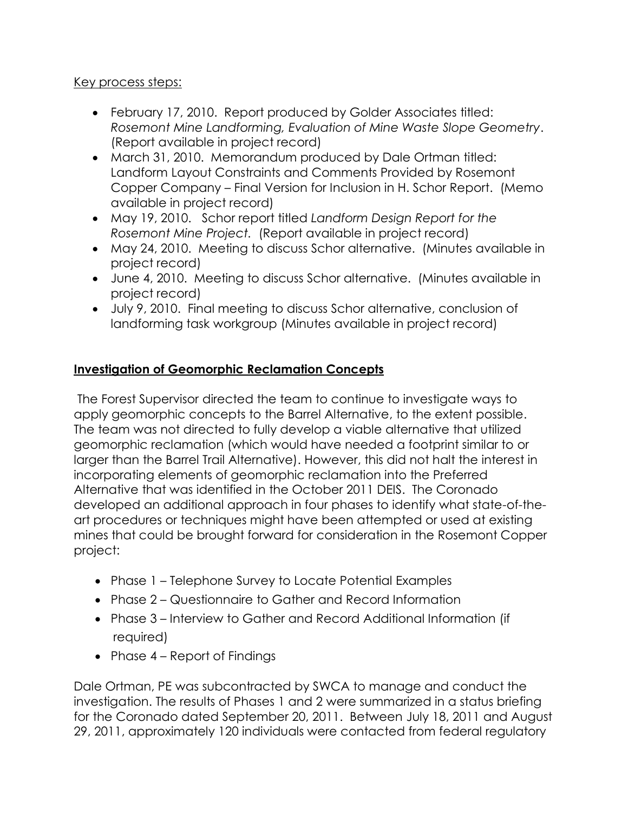### Key process steps:

- February 17, 2010. Report produced by Golder Associates titled: *Rosemont Mine Landforming, Evaluation of Mine Waste Slope Geometry*. (Report available in project record)
- March 31, 2010. Memorandum produced by Dale Ortman titled: Landform Layout Constraints and Comments Provided by Rosemont Copper Company – Final Version for Inclusion in H. Schor Report. (Memo available in project record)
- May 19, 2010. Schor report titled *Landform Design Report for the Rosemont Mine Project.* (Report available in project record)
- May 24, 2010. Meeting to discuss Schor alternative. (Minutes available in project record)
- June 4, 2010. Meeting to discuss Schor alternative. (Minutes available in project record)
- July 9, 2010. Final meeting to discuss Schor alternative, conclusion of landforming task workgroup (Minutes available in project record)

## **Investigation of Geomorphic Reclamation Concepts**

The Forest Supervisor directed the team to continue to investigate ways to apply geomorphic concepts to the Barrel Alternative, to the extent possible. The team was not directed to fully develop a viable alternative that utilized geomorphic reclamation (which would have needed a footprint similar to or larger than the Barrel Trail Alternative). However, this did not halt the interest in incorporating elements of geomorphic reclamation into the Preferred Alternative that was identified in the October 2011 DEIS. The Coronado developed an additional approach in four phases to identify what state-of-theart procedures or techniques might have been attempted or used at existing mines that could be brought forward for consideration in the Rosemont Copper project:

- Phase 1 Telephone Survey to Locate Potential Examples
- Phase 2 Questionnaire to Gather and Record Information
- Phase 3 Interview to Gather and Record Additional Information (if required)
- Phase  $4 -$  Report of Findings

Dale Ortman, PE was subcontracted by SWCA to manage and conduct the investigation. The results of Phases 1 and 2 were summarized in a status briefing for the Coronado dated September 20, 2011. Between July 18, 2011 and August 29, 2011, approximately 120 individuals were contacted from federal regulatory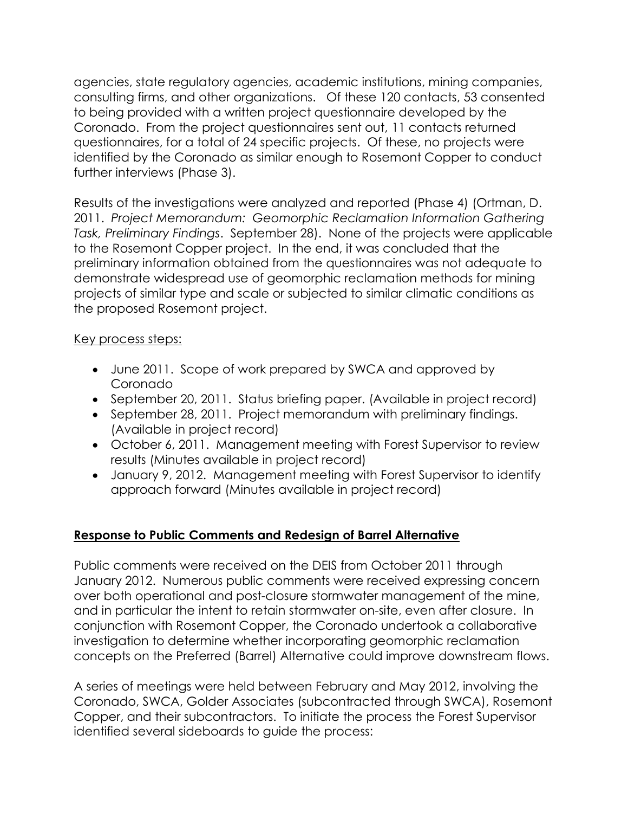agencies, state regulatory agencies, academic institutions, mining companies, consulting firms, and other organizations. Of these 120 contacts, 53 consented to being provided with a written project questionnaire developed by the Coronado. From the project questionnaires sent out, 11 contacts returned questionnaires, for a total of 24 specific projects. Of these, no projects were identified by the Coronado as similar enough to Rosemont Copper to conduct further interviews (Phase 3).

Results of the investigations were analyzed and reported (Phase 4) (Ortman, D. 2011. *Project Memorandum: Geomorphic Reclamation Information Gathering Task, Preliminary Findings*. September 28). None of the projects were applicable to the Rosemont Copper project. In the end, it was concluded that the preliminary information obtained from the questionnaires was not adequate to demonstrate widespread use of geomorphic reclamation methods for mining projects of similar type and scale or subjected to similar climatic conditions as the proposed Rosemont project.

### Key process steps:

- June 2011. Scope of work prepared by SWCA and approved by Coronado
- September 20, 2011. Status briefing paper. (Available in project record)
- September 28, 2011. Project memorandum with preliminary findings. (Available in project record)
- October 6, 2011. Management meeting with Forest Supervisor to review results (Minutes available in project record)
- January 9, 2012. Management meeting with Forest Supervisor to identify approach forward (Minutes available in project record)

### **Response to Public Comments and Redesign of Barrel Alternative**

Public comments were received on the DEIS from October 2011 through January 2012. Numerous public comments were received expressing concern over both operational and post-closure stormwater management of the mine, and in particular the intent to retain stormwater on-site, even after closure. In conjunction with Rosemont Copper, the Coronado undertook a collaborative investigation to determine whether incorporating geomorphic reclamation concepts on the Preferred (Barrel) Alternative could improve downstream flows.

A series of meetings were held between February and May 2012, involving the Coronado, SWCA, Golder Associates (subcontracted through SWCA), Rosemont Copper, and their subcontractors. To initiate the process the Forest Supervisor identified several sideboards to guide the process: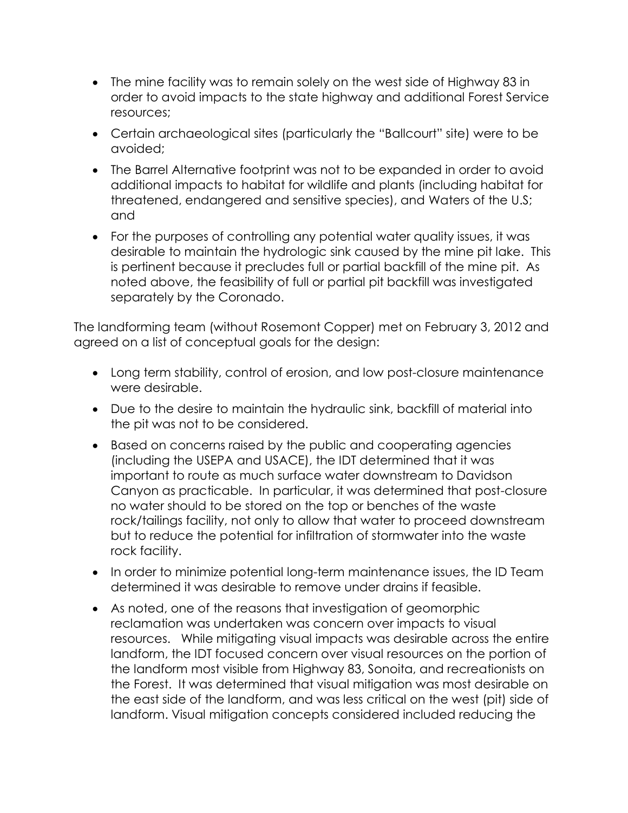- The mine facility was to remain solely on the west side of Highway 83 in order to avoid impacts to the state highway and additional Forest Service resources;
- Certain archaeological sites (particularly the "Ballcourt" site) were to be avoided;
- The Barrel Alternative footprint was not to be expanded in order to avoid additional impacts to habitat for wildlife and plants (including habitat for threatened, endangered and sensitive species), and Waters of the U.S; and
- For the purposes of controlling any potential water quality issues, it was desirable to maintain the hydrologic sink caused by the mine pit lake. This is pertinent because it precludes full or partial backfill of the mine pit. As noted above, the feasibility of full or partial pit backfill was investigated separately by the Coronado.

The landforming team (without Rosemont Copper) met on February 3, 2012 and agreed on a list of conceptual goals for the design:

- Long term stability, control of erosion, and low post-closure maintenance were desirable.
- Due to the desire to maintain the hydraulic sink, backfill of material into the pit was not to be considered.
- Based on concerns raised by the public and cooperating agencies (including the USEPA and USACE), the IDT determined that it was important to route as much surface water downstream to Davidson Canyon as practicable. In particular, it was determined that post-closure no water should to be stored on the top or benches of the waste rock/tailings facility, not only to allow that water to proceed downstream but to reduce the potential for infiltration of stormwater into the waste rock facility.
- In order to minimize potential long-term maintenance issues, the ID Team determined it was desirable to remove under drains if feasible.
- As noted, one of the reasons that investigation of geomorphic reclamation was undertaken was concern over impacts to visual resources. While mitigating visual impacts was desirable across the entire landform, the IDT focused concern over visual resources on the portion of the landform most visible from Highway 83, Sonoita, and recreationists on the Forest. It was determined that visual mitigation was most desirable on the east side of the landform, and was less critical on the west (pit) side of landform. Visual mitigation concepts considered included reducing the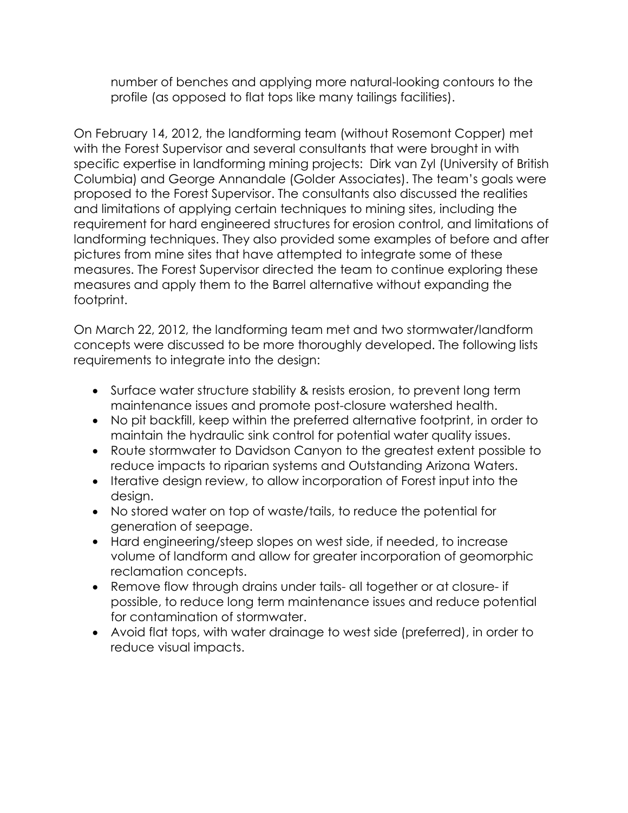number of benches and applying more natural-looking contours to the profile (as opposed to flat tops like many tailings facilities).

On February 14, 2012, the landforming team (without Rosemont Copper) met with the Forest Supervisor and several consultants that were brought in with specific expertise in landforming mining projects: Dirk van Zyl (University of British Columbia) and George Annandale (Golder Associates). The team's goals were proposed to the Forest Supervisor. The consultants also discussed the realities and limitations of applying certain techniques to mining sites, including the requirement for hard engineered structures for erosion control, and limitations of landforming techniques. They also provided some examples of before and after pictures from mine sites that have attempted to integrate some of these measures. The Forest Supervisor directed the team to continue exploring these measures and apply them to the Barrel alternative without expanding the footprint.

On March 22, 2012, the landforming team met and two stormwater/landform concepts were discussed to be more thoroughly developed. The following lists requirements to integrate into the design:

- Surface water structure stability & resists erosion, to prevent long term maintenance issues and promote post-closure watershed health.
- No pit backfill, keep within the preferred alternative footprint, in order to maintain the hydraulic sink control for potential water quality issues.
- Route stormwater to Davidson Canyon to the greatest extent possible to reduce impacts to riparian systems and Outstanding Arizona Waters.
- Iterative design review, to allow incorporation of Forest input into the design.
- No stored water on top of waste/tails, to reduce the potential for generation of seepage.
- Hard engineering/steep slopes on west side, if needed, to increase volume of landform and allow for greater incorporation of geomorphic reclamation concepts.
- Remove flow through drains under tails- all together or at closure- if possible, to reduce long term maintenance issues and reduce potential for contamination of stormwater.
- Avoid flat tops, with water drainage to west side (preferred), in order to reduce visual impacts.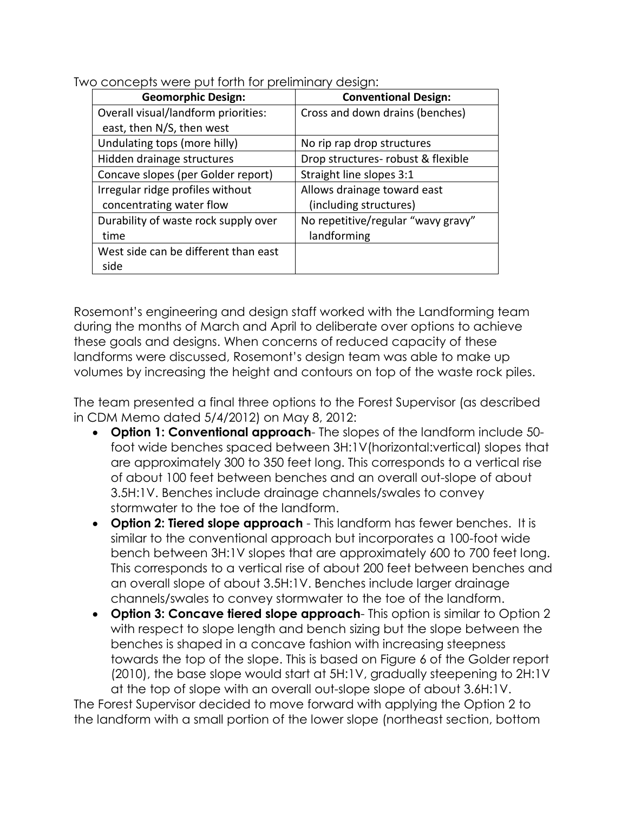| <b>Geomorphic Design:</b>            | <b>Conventional Design:</b>        |
|--------------------------------------|------------------------------------|
| Overall visual/landform priorities:  | Cross and down drains (benches)    |
| east, then N/S, then west            |                                    |
| Undulating tops (more hilly)         | No rip rap drop structures         |
| Hidden drainage structures           | Drop structures- robust & flexible |
| Concave slopes (per Golder report)   | Straight line slopes 3:1           |
| Irregular ridge profiles without     | Allows drainage toward east        |
| concentrating water flow             | (including structures)             |
| Durability of waste rock supply over | No repetitive/regular "wavy gravy" |
| time                                 | landforming                        |
| West side can be different than east |                                    |
| side                                 |                                    |

Two concepts were put forth for preliminary design:

Rosemont's engineering and design staff worked with the Landforming team during the months of March and April to deliberate over options to achieve these goals and designs. When concerns of reduced capacity of these landforms were discussed, Rosemont's design team was able to make up volumes by increasing the height and contours on top of the waste rock piles.

The team presented a final three options to the Forest Supervisor (as described in CDM Memo dated 5/4/2012) on May 8, 2012:

- **Option 1: Conventional approach** The slopes of the landform include 50 foot wide benches spaced between 3H:1V(horizontal:vertical) slopes that are approximately 300 to 350 feet long. This corresponds to a vertical rise of about 100 feet between benches and an overall out-slope of about 3.5H:1V. Benches include drainage channels/swales to convey stormwater to the toe of the landform.
- **Option 2: Tiered slope approach** This landform has fewer benches. It is similar to the conventional approach but incorporates a 100-foot wide bench between 3H:1V slopes that are approximately 600 to 700 feet long. This corresponds to a vertical rise of about 200 feet between benches and an overall slope of about 3.5H:1V. Benches include larger drainage channels/swales to convey stormwater to the toe of the landform.
- **Option 3: Concave tiered slope approach** This option is similar to Option 2 with respect to slope length and bench sizing but the slope between the benches is shaped in a concave fashion with increasing steepness towards the top of the slope. This is based on Figure 6 of the Golder report (2010), the base slope would start at 5H:1V, gradually steepening to 2H:1V at the top of slope with an overall out-slope slope of about 3.6H:1V.

The Forest Supervisor decided to move forward with applying the Option 2 to the landform with a small portion of the lower slope (northeast section, bottom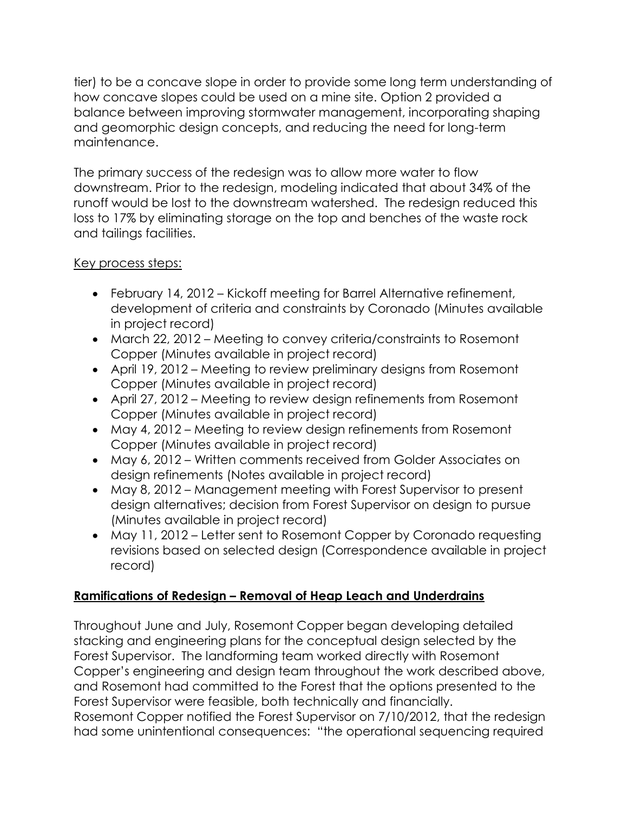tier) to be a concave slope in order to provide some long term understanding of how concave slopes could be used on a mine site. Option 2 provided a balance between improving stormwater management, incorporating shaping and geomorphic design concepts, and reducing the need for long-term maintenance.

The primary success of the redesign was to allow more water to flow downstream. Prior to the redesign, modeling indicated that about 34% of the runoff would be lost to the downstream watershed. The redesign reduced this loss to 17% by eliminating storage on the top and benches of the waste rock and tailings facilities.

## Key process steps:

- February 14, 2012 Kickoff meeting for Barrel Alternative refinement, development of criteria and constraints by Coronado (Minutes available in project record)
- March 22, 2012 Meeting to convey criteria/constraints to Rosemont Copper (Minutes available in project record)
- April 19, 2012 Meeting to review preliminary designs from Rosemont Copper (Minutes available in project record)
- April 27, 2012 Meeting to review design refinements from Rosemont Copper (Minutes available in project record)
- May 4, 2012 Meeting to review design refinements from Rosemont Copper (Minutes available in project record)
- May 6, 2012 Written comments received from Golder Associates on design refinements (Notes available in project record)
- May 8, 2012 Management meeting with Forest Supervisor to present design alternatives; decision from Forest Supervisor on design to pursue (Minutes available in project record)
- May 11, 2012 Letter sent to Rosemont Copper by Coronado requesting revisions based on selected design (Correspondence available in project record)

## **Ramifications of Redesign – Removal of Heap Leach and Underdrains**

Throughout June and July, Rosemont Copper began developing detailed stacking and engineering plans for the conceptual design selected by the Forest Supervisor. The landforming team worked directly with Rosemont Copper's engineering and design team throughout the work described above, and Rosemont had committed to the Forest that the options presented to the Forest Supervisor were feasible, both technically and financially. Rosemont Copper notified the Forest Supervisor on 7/10/2012, that the redesign had some unintentional consequences: "the operational sequencing required